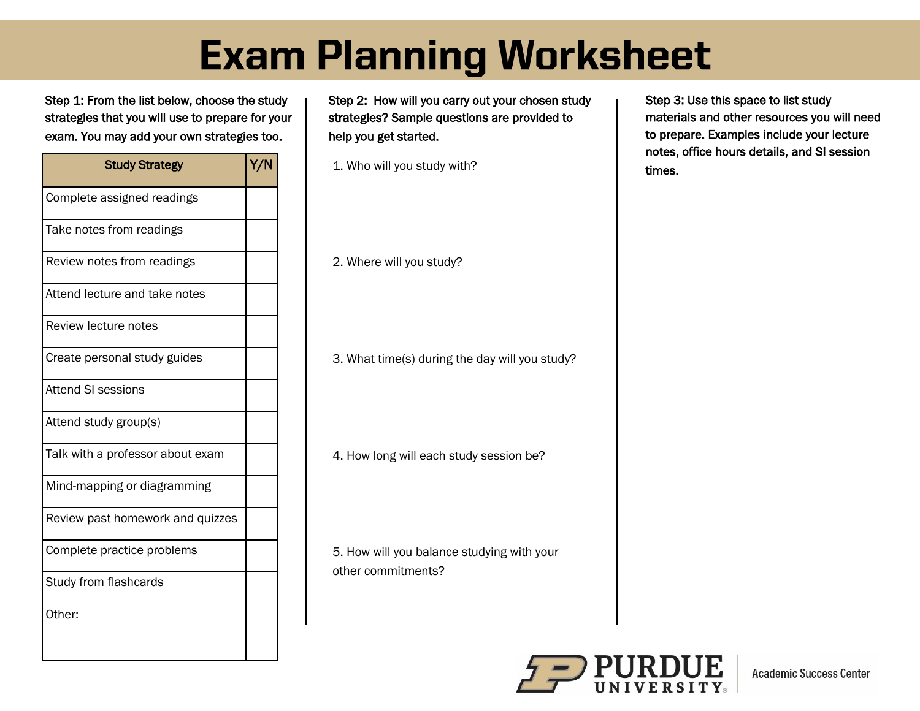## **Exam Planning Worksheet**

Step 1: From the list below, choose the study strategies that you will use to prepare for your exam. You may add your own strategies too.

| <b>Study Strategy</b>            | Y/N |
|----------------------------------|-----|
| Complete assigned readings       |     |
| Take notes from readings         |     |
| Review notes from readings       |     |
| Attend lecture and take notes    |     |
| Review lecture notes             |     |
| Create personal study guides     |     |
| <b>Attend SI sessions</b>        |     |
| Attend study group(s)            |     |
| Talk with a professor about exam |     |
| Mind-mapping or diagramming      |     |
| Review past homework and quizzes |     |
| Complete practice problems       |     |
| Study from flashcards            |     |
| Other:                           |     |

Step 2: How will you carry out your chosen study strategies? Sample questions are provided to help you get started.

1. Who will you study with?

2. Where will you study?

3. What time(s) during the day will you study?

4. How long will each study session be?

5. How will you balance studying with your other commitments?